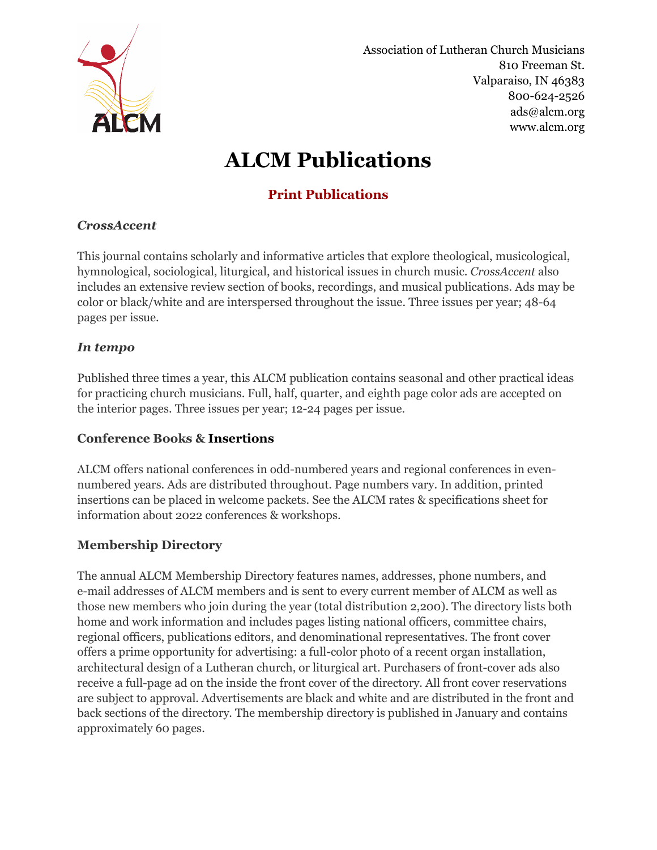

Association of Lutheran Church Musicians 810 Freeman St. Valparaiso, IN 46383 800-624-2526 ads@alcm.org www.alcm.org

# ALCM Publications

# Print Publications

## **CrossAccent**

This journal contains scholarly and informative articles that explore theological, musicological, hymnological, sociological, liturgical, and historical issues in church music. CrossAccent also includes an extensive review section of books, recordings, and musical publications. Ads may be color or black/white and are interspersed throughout the issue. Three issues per year; 48-64 pages per issue.

# In tempo

Published three times a year, this ALCM publication contains seasonal and other practical ideas for practicing church musicians. Full, half, quarter, and eighth page color ads are accepted on the interior pages. Three issues per year; 12-24 pages per issue.

## Conference Books & Insertions

ALCM offers national conferences in odd-numbered years and regional conferences in evennumbered years. Ads are distributed throughout. Page numbers vary. In addition, printed insertions can be placed in welcome packets. See the ALCM rates & specifications sheet for information about 2022 conferences & workshops.

## Membership Directory

The annual ALCM Membership Directory features names, addresses, phone numbers, and e-mail addresses of ALCM members and is sent to every current member of ALCM as well as those new members who join during the year (total distribution 2,200). The directory lists both home and work information and includes pages listing national officers, committee chairs, regional officers, publications editors, and denominational representatives. The front cover offers a prime opportunity for advertising: a full-color photo of a recent organ installation, architectural design of a Lutheran church, or liturgical art. Purchasers of front-cover ads also receive a full-page ad on the inside the front cover of the directory. All front cover reservations are subject to approval. Advertisements are black and white and are distributed in the front and back sections of the directory. The membership directory is published in January and contains approximately 60 pages.